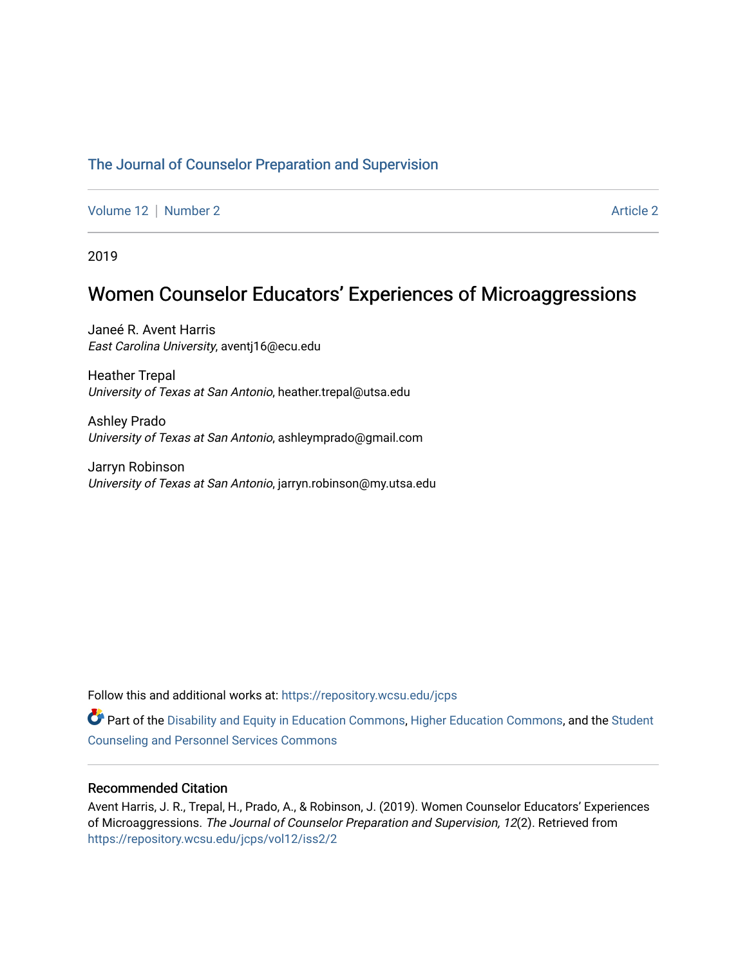# [The Journal of Counselor Preparation and Supervision](https://repository.wcsu.edu/jcps)

[Volume 12](https://repository.wcsu.edu/jcps/vol12) [Number 2](https://repository.wcsu.edu/jcps/vol12/iss2) **Article 2** Article 2

2019

# Women Counselor Educators' Experiences of Microaggressions

Janeé R. Avent Harris East Carolina University, aventj16@ecu.edu

Heather Trepal University of Texas at San Antonio, heather.trepal@utsa.edu

Ashley Prado University of Texas at San Antonio, ashleymprado@gmail.com

Jarryn Robinson University of Texas at San Antonio, jarryn.robinson@my.utsa.edu

Follow this and additional works at: [https://repository.wcsu.edu/jcps](https://repository.wcsu.edu/jcps?utm_source=repository.wcsu.edu%2Fjcps%2Fvol12%2Fiss2%2F2&utm_medium=PDF&utm_campaign=PDFCoverPages) 

Part of the [Disability and Equity in Education Commons](http://network.bepress.com/hgg/discipline/1040?utm_source=repository.wcsu.edu%2Fjcps%2Fvol12%2Fiss2%2F2&utm_medium=PDF&utm_campaign=PDFCoverPages), [Higher Education Commons](http://network.bepress.com/hgg/discipline/1245?utm_source=repository.wcsu.edu%2Fjcps%2Fvol12%2Fiss2%2F2&utm_medium=PDF&utm_campaign=PDFCoverPages), and the [Student](http://network.bepress.com/hgg/discipline/802?utm_source=repository.wcsu.edu%2Fjcps%2Fvol12%2Fiss2%2F2&utm_medium=PDF&utm_campaign=PDFCoverPages)  [Counseling and Personnel Services Commons](http://network.bepress.com/hgg/discipline/802?utm_source=repository.wcsu.edu%2Fjcps%2Fvol12%2Fiss2%2F2&utm_medium=PDF&utm_campaign=PDFCoverPages) 

# Recommended Citation

Avent Harris, J. R., Trepal, H., Prado, A., & Robinson, J. (2019). Women Counselor Educators' Experiences of Microaggressions. The Journal of Counselor Preparation and Supervision, 12(2). Retrieved from [https://repository.wcsu.edu/jcps/vol12/iss2/2](https://repository.wcsu.edu/jcps/vol12/iss2/2?utm_source=repository.wcsu.edu%2Fjcps%2Fvol12%2Fiss2%2F2&utm_medium=PDF&utm_campaign=PDFCoverPages)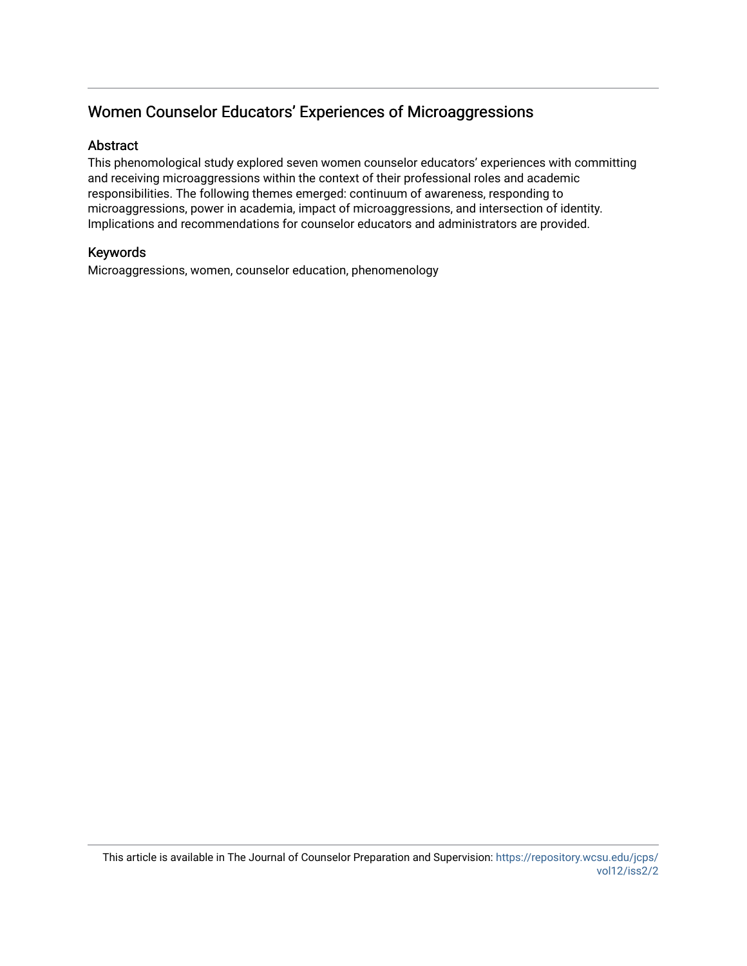# Women Counselor Educators' Experiences of Microaggressions

# Abstract

This phenomological study explored seven women counselor educators' experiences with committing and receiving microaggressions within the context of their professional roles and academic responsibilities. The following themes emerged: continuum of awareness, responding to microaggressions, power in academia, impact of microaggressions, and intersection of identity. Implications and recommendations for counselor educators and administrators are provided.

# Keywords

Microaggressions, women, counselor education, phenomenology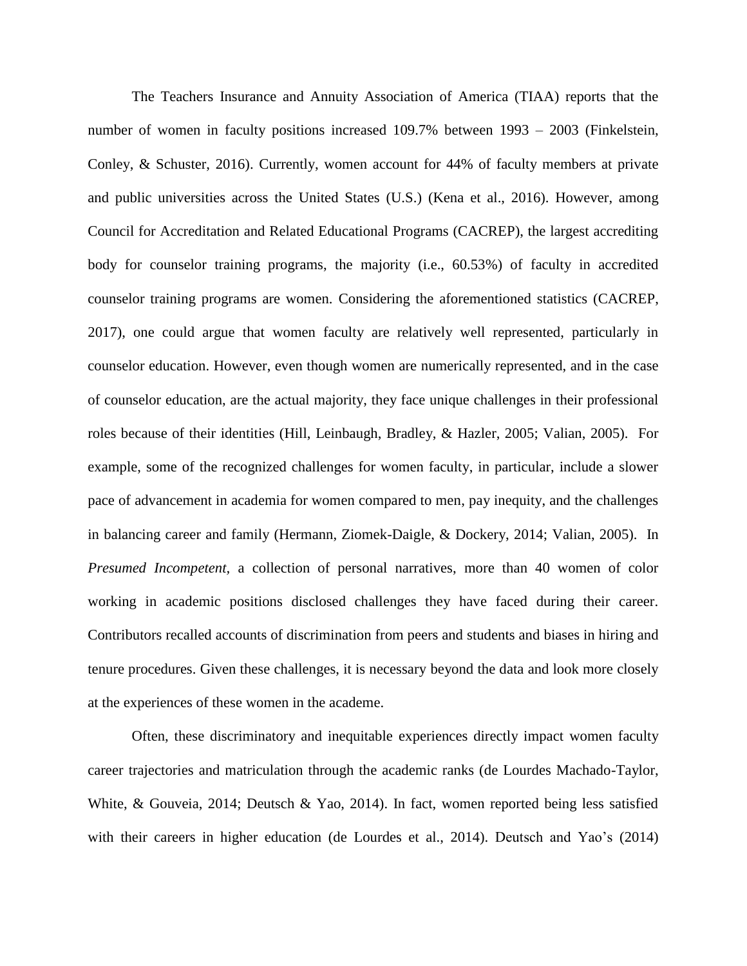The Teachers Insurance and Annuity Association of America (TIAA) reports that the number of women in faculty positions increased 109.7% between 1993 – 2003 (Finkelstein, Conley, & Schuster, 2016). Currently, women account for 44% of faculty members at private and public universities across the United States (U.S.) (Kena et al., 2016). However, among Council for Accreditation and Related Educational Programs (CACREP), the largest accrediting body for counselor training programs, the majority (i.e., 60.53%) of faculty in accredited counselor training programs are women. Considering the aforementioned statistics (CACREP, 2017), one could argue that women faculty are relatively well represented, particularly in counselor education. However, even though women are numerically represented, and in the case of counselor education, are the actual majority, they face unique challenges in their professional roles because of their identities (Hill, Leinbaugh, Bradley, & Hazler, 2005; Valian, 2005). For example, some of the recognized challenges for women faculty, in particular, include a slower pace of advancement in academia for women compared to men, pay inequity, and the challenges in balancing career and family (Hermann, Ziomek-Daigle, & Dockery, 2014; Valian, 2005). In *Presumed Incompetent,* a collection of personal narratives, more than 40 women of color working in academic positions disclosed challenges they have faced during their career. Contributors recalled accounts of discrimination from peers and students and biases in hiring and tenure procedures. Given these challenges, it is necessary beyond the data and look more closely at the experiences of these women in the academe.

Often, these discriminatory and inequitable experiences directly impact women faculty career trajectories and matriculation through the academic ranks (de Lourdes Machado-Taylor, White, & Gouveia, 2014; Deutsch & Yao, 2014). In fact, women reported being less satisfied with their careers in higher education (de Lourdes et al., 2014). Deutsch and Yao's (2014)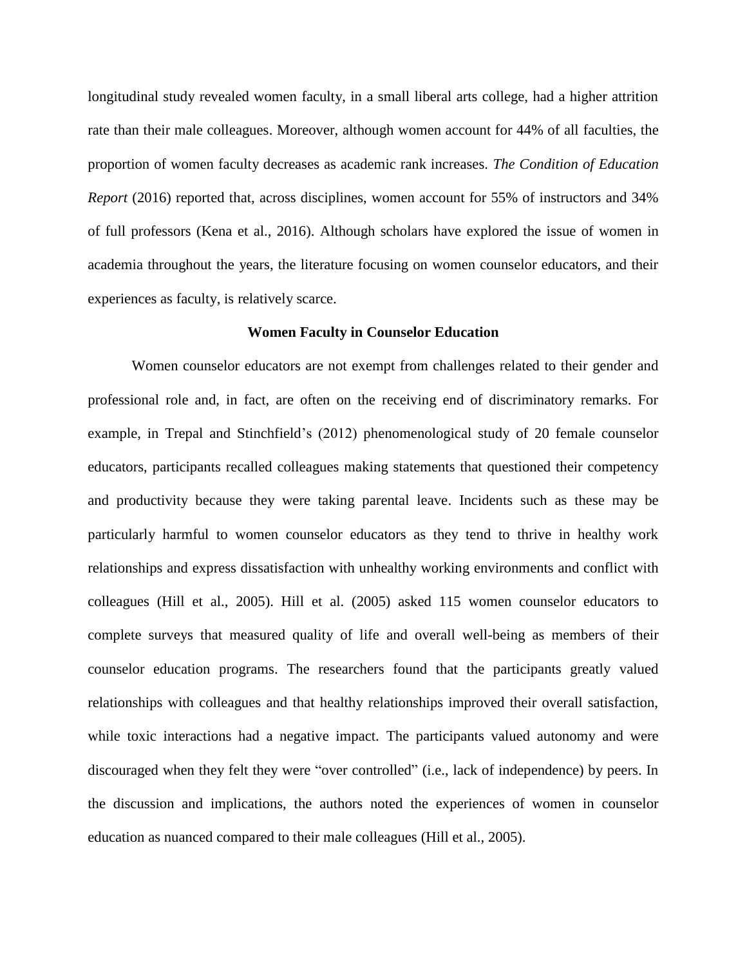longitudinal study revealed women faculty, in a small liberal arts college, had a higher attrition rate than their male colleagues. Moreover, although women account for 44% of all faculties, the proportion of women faculty decreases as academic rank increases. *The Condition of Education Report* (2016) reported that, across disciplines, women account for 55% of instructors and 34% of full professors (Kena et al., 2016). Although scholars have explored the issue of women in academia throughout the years, the literature focusing on women counselor educators, and their experiences as faculty, is relatively scarce.

#### **Women Faculty in Counselor Education**

Women counselor educators are not exempt from challenges related to their gender and professional role and, in fact, are often on the receiving end of discriminatory remarks. For example, in Trepal and Stinchfield's (2012) phenomenological study of 20 female counselor educators, participants recalled colleagues making statements that questioned their competency and productivity because they were taking parental leave. Incidents such as these may be particularly harmful to women counselor educators as they tend to thrive in healthy work relationships and express dissatisfaction with unhealthy working environments and conflict with colleagues (Hill et al., 2005). Hill et al. (2005) asked 115 women counselor educators to complete surveys that measured quality of life and overall well-being as members of their counselor education programs. The researchers found that the participants greatly valued relationships with colleagues and that healthy relationships improved their overall satisfaction, while toxic interactions had a negative impact. The participants valued autonomy and were discouraged when they felt they were "over controlled" (i.e., lack of independence) by peers. In the discussion and implications, the authors noted the experiences of women in counselor education as nuanced compared to their male colleagues (Hill et al., 2005).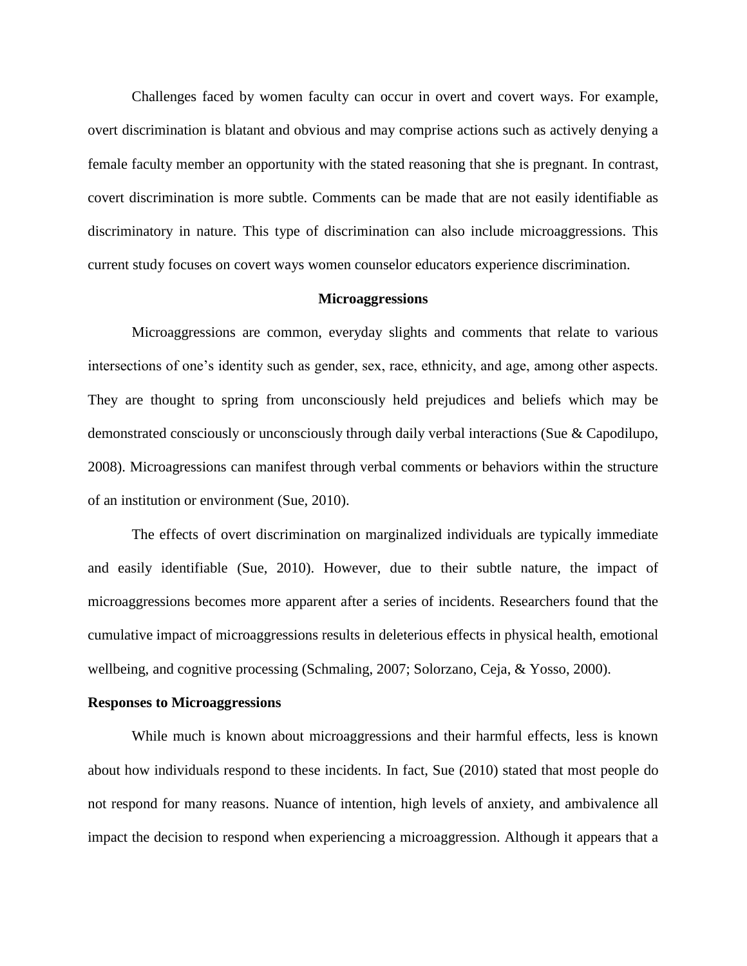Challenges faced by women faculty can occur in overt and covert ways. For example, overt discrimination is blatant and obvious and may comprise actions such as actively denying a female faculty member an opportunity with the stated reasoning that she is pregnant. In contrast, covert discrimination is more subtle. Comments can be made that are not easily identifiable as discriminatory in nature. This type of discrimination can also include microaggressions. This current study focuses on covert ways women counselor educators experience discrimination.

# **Microaggressions**

Microaggressions are common, everyday slights and comments that relate to various intersections of one's identity such as gender, sex, race, ethnicity, and age, among other aspects. They are thought to spring from unconsciously held prejudices and beliefs which may be demonstrated consciously or unconsciously through daily verbal interactions (Sue & Capodilupo, 2008). Microagressions can manifest through verbal comments or behaviors within the structure of an institution or environment (Sue, 2010).

The effects of overt discrimination on marginalized individuals are typically immediate and easily identifiable (Sue, 2010). However, due to their subtle nature, the impact of microaggressions becomes more apparent after a series of incidents. Researchers found that the cumulative impact of microaggressions results in deleterious effects in physical health, emotional wellbeing, and cognitive processing (Schmaling, 2007; Solorzano, Ceja, & Yosso, 2000).

#### **Responses to Microaggressions**

While much is known about microaggressions and their harmful effects, less is known about how individuals respond to these incidents. In fact, Sue (2010) stated that most people do not respond for many reasons. Nuance of intention, high levels of anxiety, and ambivalence all impact the decision to respond when experiencing a microaggression. Although it appears that a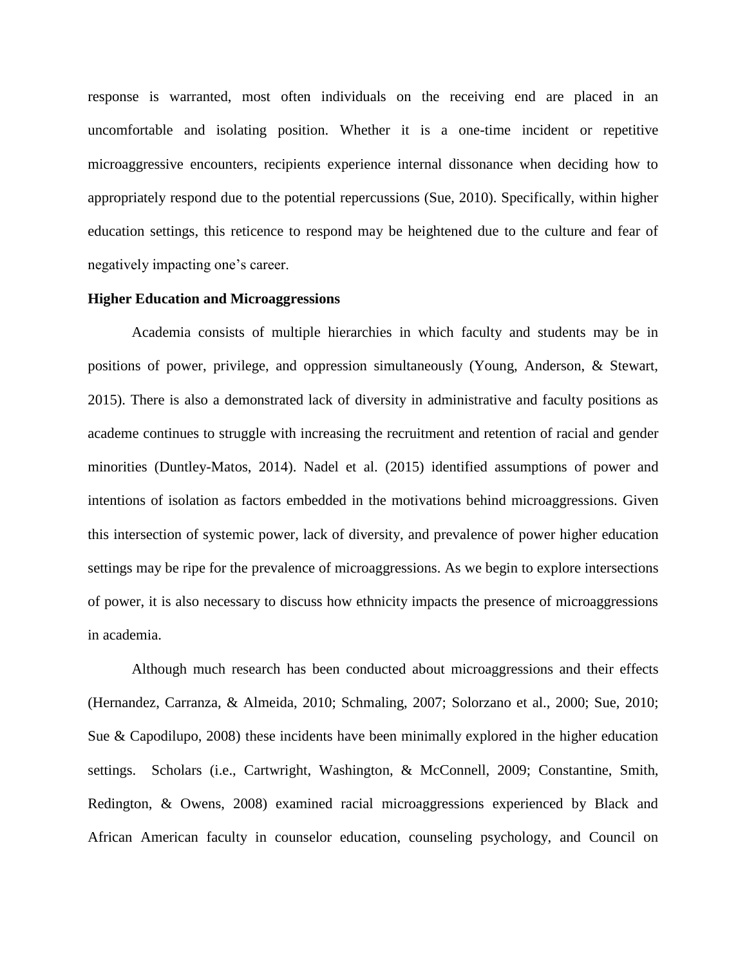response is warranted, most often individuals on the receiving end are placed in an uncomfortable and isolating position. Whether it is a one-time incident or repetitive microaggressive encounters, recipients experience internal dissonance when deciding how to appropriately respond due to the potential repercussions (Sue, 2010). Specifically, within higher education settings, this reticence to respond may be heightened due to the culture and fear of negatively impacting one's career.

# **Higher Education and Microaggressions**

Academia consists of multiple hierarchies in which faculty and students may be in positions of power, privilege, and oppression simultaneously (Young, Anderson, & Stewart, 2015). There is also a demonstrated lack of diversity in administrative and faculty positions as academe continues to struggle with increasing the recruitment and retention of racial and gender minorities (Duntley-Matos, 2014). Nadel et al. (2015) identified assumptions of power and intentions of isolation as factors embedded in the motivations behind microaggressions. Given this intersection of systemic power, lack of diversity, and prevalence of power higher education settings may be ripe for the prevalence of microaggressions. As we begin to explore intersections of power, it is also necessary to discuss how ethnicity impacts the presence of microaggressions in academia.

Although much research has been conducted about microaggressions and their effects (Hernandez, Carranza, & Almeida, 2010; Schmaling, 2007; Solorzano et al., 2000; Sue, 2010; Sue & Capodilupo, 2008) these incidents have been minimally explored in the higher education settings. Scholars (i.e., Cartwright, Washington, & McConnell, 2009; Constantine, Smith, Redington, & Owens, 2008) examined racial microaggressions experienced by Black and African American faculty in counselor education, counseling psychology, and Council on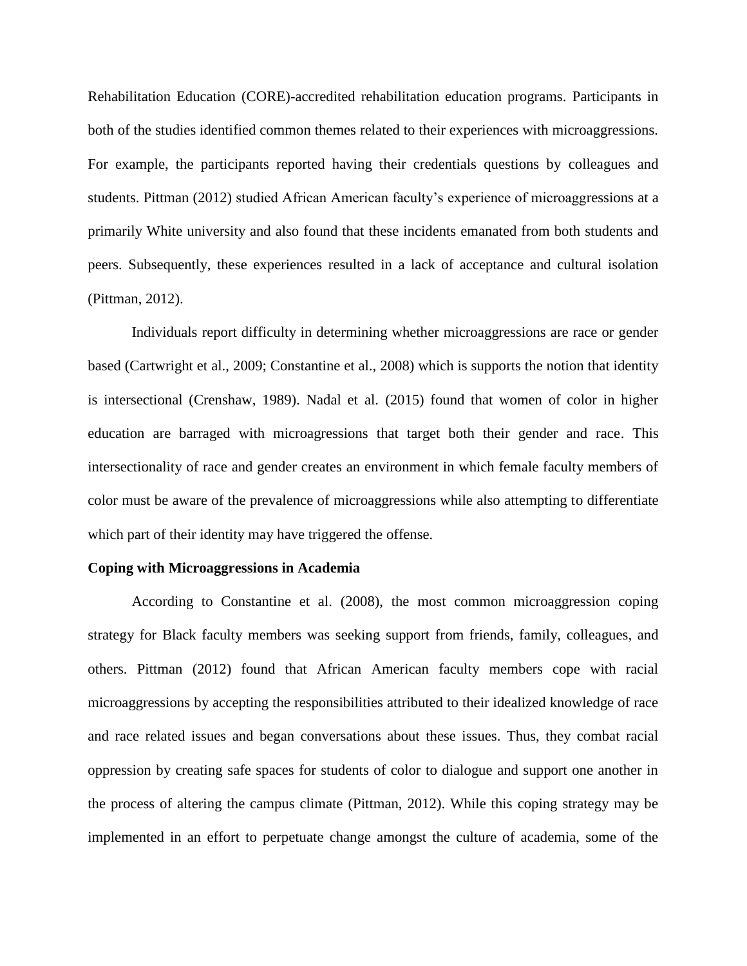Rehabilitation Education (CORE)-accredited rehabilitation education programs. Participants in both of the studies identified common themes related to their experiences with microaggressions. For example, the participants reported having their credentials questions by colleagues and students. Pittman (2012) studied African American faculty's experience of microaggressions at a primarily White university and also found that these incidents emanated from both students and peers. Subsequently, these experiences resulted in a lack of acceptance and cultural isolation (Pittman, 2012).

Individuals report difficulty in determining whether microaggressions are race or gender based (Cartwright et al., 2009; Constantine et al., 2008) which is supports the notion that identity is intersectional (Crenshaw, 1989). Nadal et al. (2015) found that women of color in higher education are barraged with microagressions that target both their gender and race. This intersectionality of race and gender creates an environment in which female faculty members of color must be aware of the prevalence of microaggressions while also attempting to differentiate which part of their identity may have triggered the offense.

#### **Coping with Microaggressions in Academia**

According to Constantine et al. (2008), the most common microaggression coping strategy for Black faculty members was seeking support from friends, family, colleagues, and others. Pittman (2012) found that African American faculty members cope with racial microaggressions by accepting the responsibilities attributed to their idealized knowledge of race and race related issues and began conversations about these issues. Thus, they combat racial oppression by creating safe spaces for students of color to dialogue and support one another in the process of altering the campus climate (Pittman, 2012). While this coping strategy may be implemented in an effort to perpetuate change amongst the culture of academia, some of the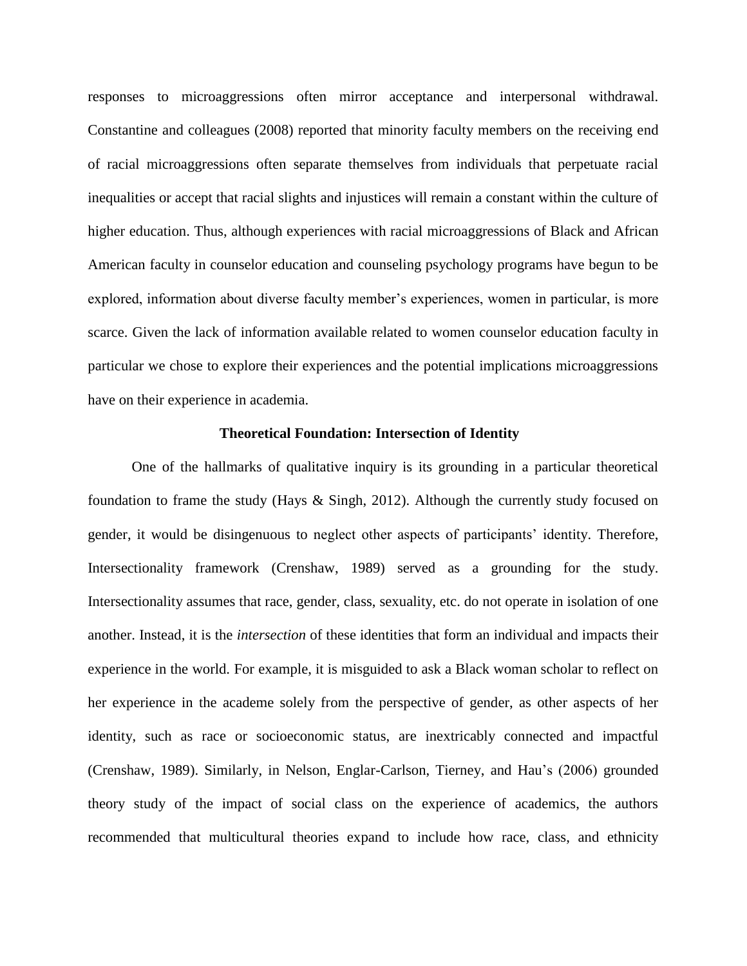responses to microaggressions often mirror acceptance and interpersonal withdrawal. Constantine and colleagues (2008) reported that minority faculty members on the receiving end of racial microaggressions often separate themselves from individuals that perpetuate racial inequalities or accept that racial slights and injustices will remain a constant within the culture of higher education. Thus, although experiences with racial microaggressions of Black and African American faculty in counselor education and counseling psychology programs have begun to be explored, information about diverse faculty member's experiences, women in particular, is more scarce. Given the lack of information available related to women counselor education faculty in particular we chose to explore their experiences and the potential implications microaggressions have on their experience in academia.

#### **Theoretical Foundation: Intersection of Identity**

One of the hallmarks of qualitative inquiry is its grounding in a particular theoretical foundation to frame the study (Hays & Singh, 2012). Although the currently study focused on gender, it would be disingenuous to neglect other aspects of participants' identity. Therefore, Intersectionality framework (Crenshaw, 1989) served as a grounding for the study. Intersectionality assumes that race, gender, class, sexuality, etc. do not operate in isolation of one another. Instead, it is the *intersection* of these identities that form an individual and impacts their experience in the world. For example, it is misguided to ask a Black woman scholar to reflect on her experience in the academe solely from the perspective of gender, as other aspects of her identity, such as race or socioeconomic status, are inextricably connected and impactful (Crenshaw, 1989). Similarly, in Nelson, Englar-Carlson, Tierney, and Hau's (2006) grounded theory study of the impact of social class on the experience of academics, the authors recommended that multicultural theories expand to include how race, class, and ethnicity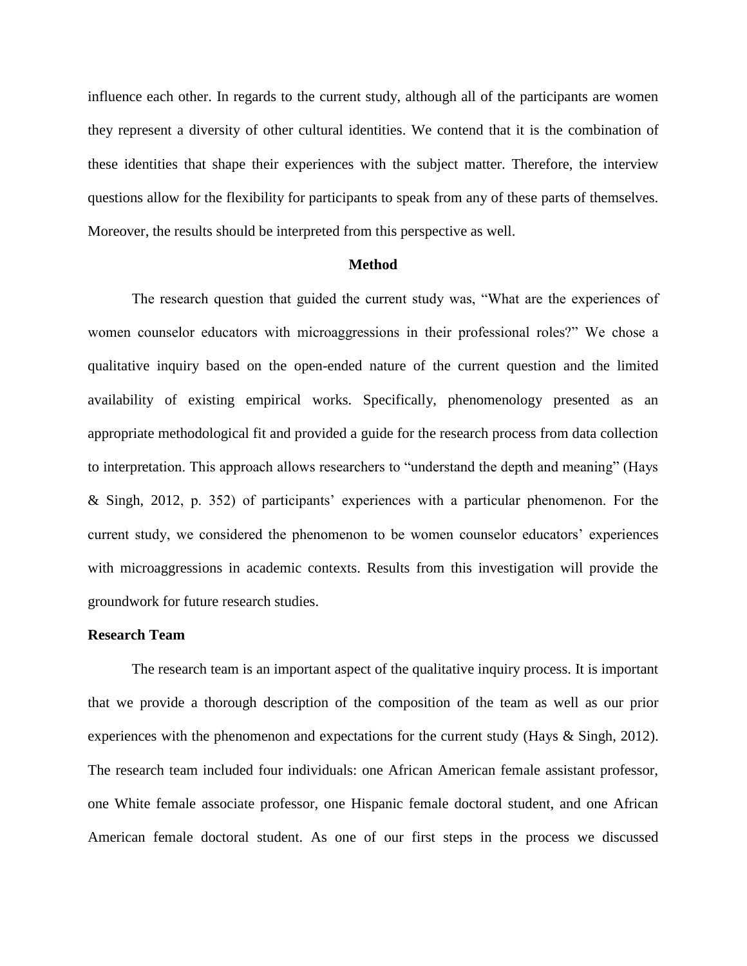influence each other. In regards to the current study, although all of the participants are women they represent a diversity of other cultural identities. We contend that it is the combination of these identities that shape their experiences with the subject matter. Therefore, the interview questions allow for the flexibility for participants to speak from any of these parts of themselves. Moreover, the results should be interpreted from this perspective as well.

#### **Method**

The research question that guided the current study was, "What are the experiences of women counselor educators with microaggressions in their professional roles?" We chose a qualitative inquiry based on the open-ended nature of the current question and the limited availability of existing empirical works. Specifically, phenomenology presented as an appropriate methodological fit and provided a guide for the research process from data collection to interpretation. This approach allows researchers to "understand the depth and meaning" (Hays & Singh, 2012, p. 352) of participants' experiences with a particular phenomenon. For the current study, we considered the phenomenon to be women counselor educators' experiences with microaggressions in academic contexts. Results from this investigation will provide the groundwork for future research studies.

# **Research Team**

The research team is an important aspect of the qualitative inquiry process. It is important that we provide a thorough description of the composition of the team as well as our prior experiences with the phenomenon and expectations for the current study (Hays & Singh, 2012). The research team included four individuals: one African American female assistant professor, one White female associate professor, one Hispanic female doctoral student, and one African American female doctoral student. As one of our first steps in the process we discussed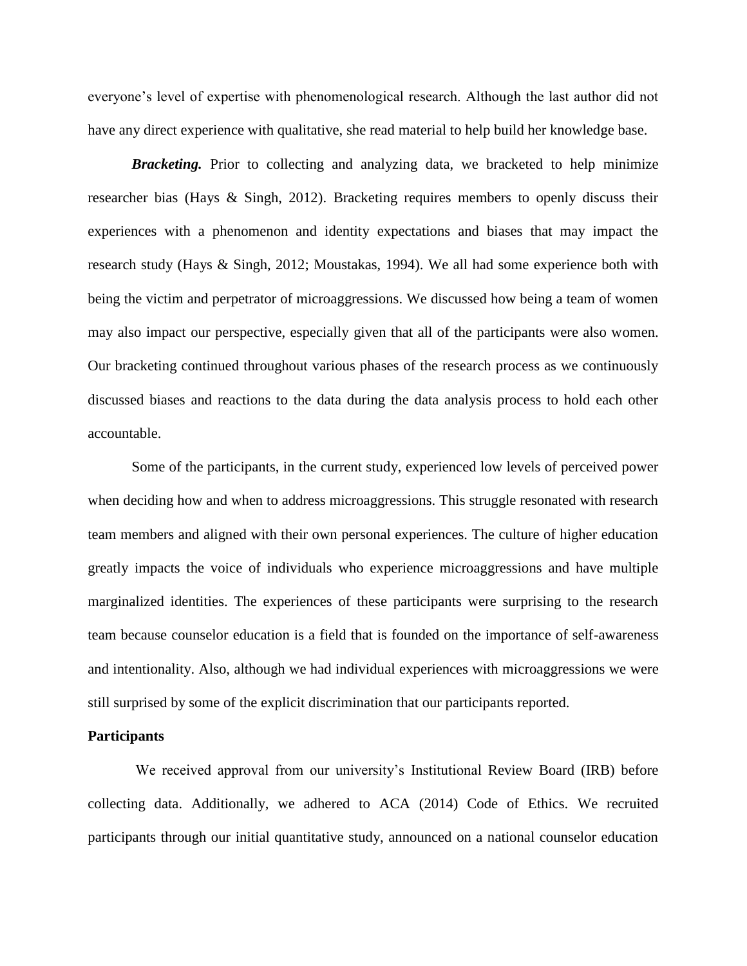everyone's level of expertise with phenomenological research. Although the last author did not have any direct experience with qualitative, she read material to help build her knowledge base.

*Bracketing.* Prior to collecting and analyzing data, we bracketed to help minimize researcher bias (Hays & Singh, 2012). Bracketing requires members to openly discuss their experiences with a phenomenon and identity expectations and biases that may impact the research study (Hays & Singh, 2012; Moustakas, 1994). We all had some experience both with being the victim and perpetrator of microaggressions. We discussed how being a team of women may also impact our perspective, especially given that all of the participants were also women. Our bracketing continued throughout various phases of the research process as we continuously discussed biases and reactions to the data during the data analysis process to hold each other accountable.

Some of the participants, in the current study, experienced low levels of perceived power when deciding how and when to address microaggressions. This struggle resonated with research team members and aligned with their own personal experiences. The culture of higher education greatly impacts the voice of individuals who experience microaggressions and have multiple marginalized identities. The experiences of these participants were surprising to the research team because counselor education is a field that is founded on the importance of self-awareness and intentionality. Also, although we had individual experiences with microaggressions we were still surprised by some of the explicit discrimination that our participants reported.

# **Participants**

We received approval from our university's Institutional Review Board (IRB) before collecting data. Additionally, we adhered to ACA (2014) Code of Ethics. We recruited participants through our initial quantitative study, announced on a national counselor education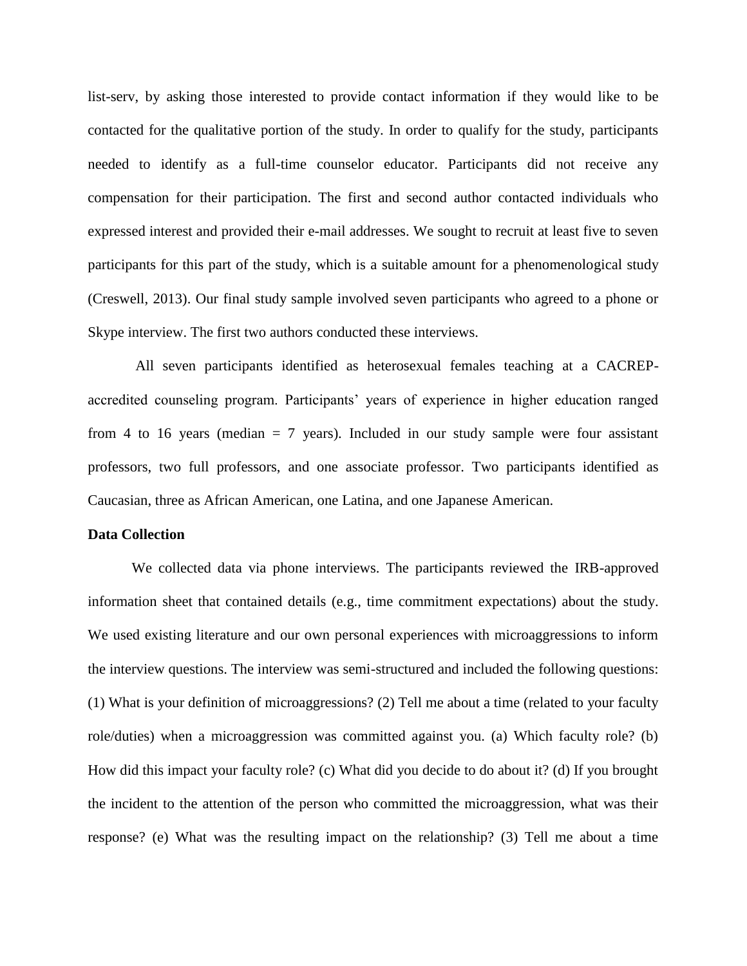list-serv, by asking those interested to provide contact information if they would like to be contacted for the qualitative portion of the study. In order to qualify for the study, participants needed to identify as a full-time counselor educator. Participants did not receive any compensation for their participation. The first and second author contacted individuals who expressed interest and provided their e-mail addresses. We sought to recruit at least five to seven participants for this part of the study, which is a suitable amount for a phenomenological study (Creswell, 2013). Our final study sample involved seven participants who agreed to a phone or Skype interview. The first two authors conducted these interviews.

All seven participants identified as heterosexual females teaching at a CACREPaccredited counseling program. Participants' years of experience in higher education ranged from 4 to 16 years (median  $= 7$  years). Included in our study sample were four assistant professors, two full professors, and one associate professor. Two participants identified as Caucasian, three as African American, one Latina, and one Japanese American.

# **Data Collection**

We collected data via phone interviews. The participants reviewed the IRB-approved information sheet that contained details (e.g., time commitment expectations) about the study. We used existing literature and our own personal experiences with microaggressions to inform the interview questions. The interview was semi-structured and included the following questions: (1) What is your definition of microaggressions? (2) Tell me about a time (related to your faculty role/duties) when a microaggression was committed against you. (a) Which faculty role? (b) How did this impact your faculty role? (c) What did you decide to do about it? (d) If you brought the incident to the attention of the person who committed the microaggression, what was their response? (e) What was the resulting impact on the relationship? (3) Tell me about a time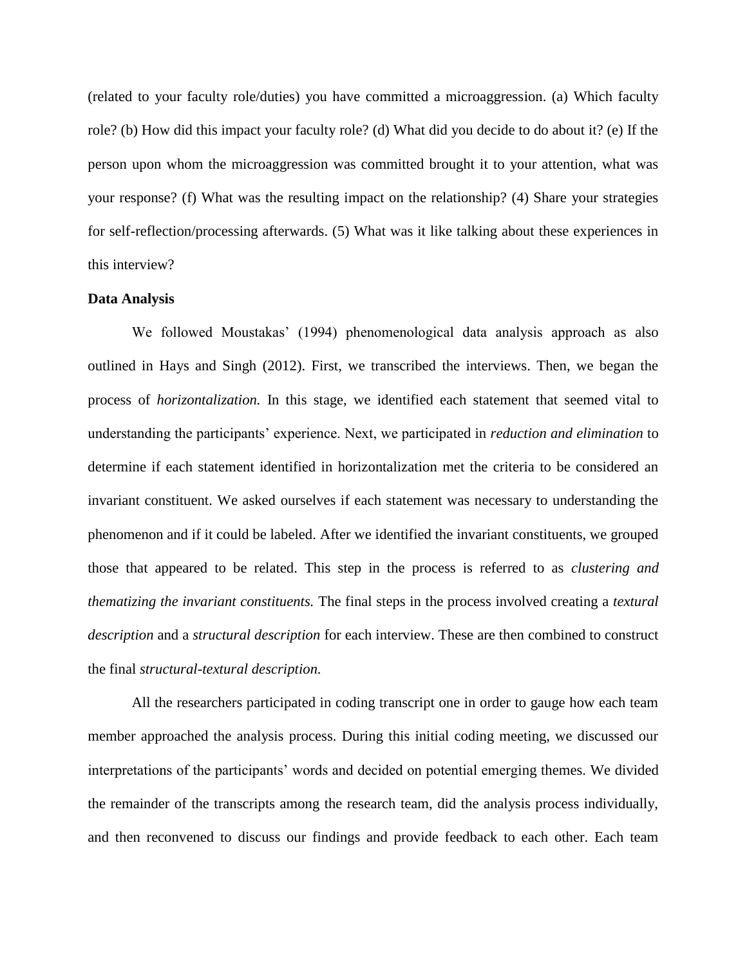(related to your faculty role/duties) you have committed a microaggression. (a) Which faculty role? (b) How did this impact your faculty role? (d) What did you decide to do about it? (e) If the person upon whom the microaggression was committed brought it to your attention, what was your response? (f) What was the resulting impact on the relationship? (4) Share your strategies for self-reflection/processing afterwards. (5) What was it like talking about these experiences in this interview?

#### **Data Analysis**

We followed Moustakas' (1994) phenomenological data analysis approach as also outlined in Hays and Singh (2012). First, we transcribed the interviews. Then, we began the process of *horizontalization.* In this stage, we identified each statement that seemed vital to understanding the participants' experience. Next, we participated in *reduction and elimination* to determine if each statement identified in horizontalization met the criteria to be considered an invariant constituent. We asked ourselves if each statement was necessary to understanding the phenomenon and if it could be labeled. After we identified the invariant constituents, we grouped those that appeared to be related. This step in the process is referred to as *clustering and thematizing the invariant constituents.* The final steps in the process involved creating a *textural description* and a *structural description* for each interview. These are then combined to construct the final *structural-textural description.*

All the researchers participated in coding transcript one in order to gauge how each team member approached the analysis process. During this initial coding meeting, we discussed our interpretations of the participants' words and decided on potential emerging themes. We divided the remainder of the transcripts among the research team, did the analysis process individually, and then reconvened to discuss our findings and provide feedback to each other. Each team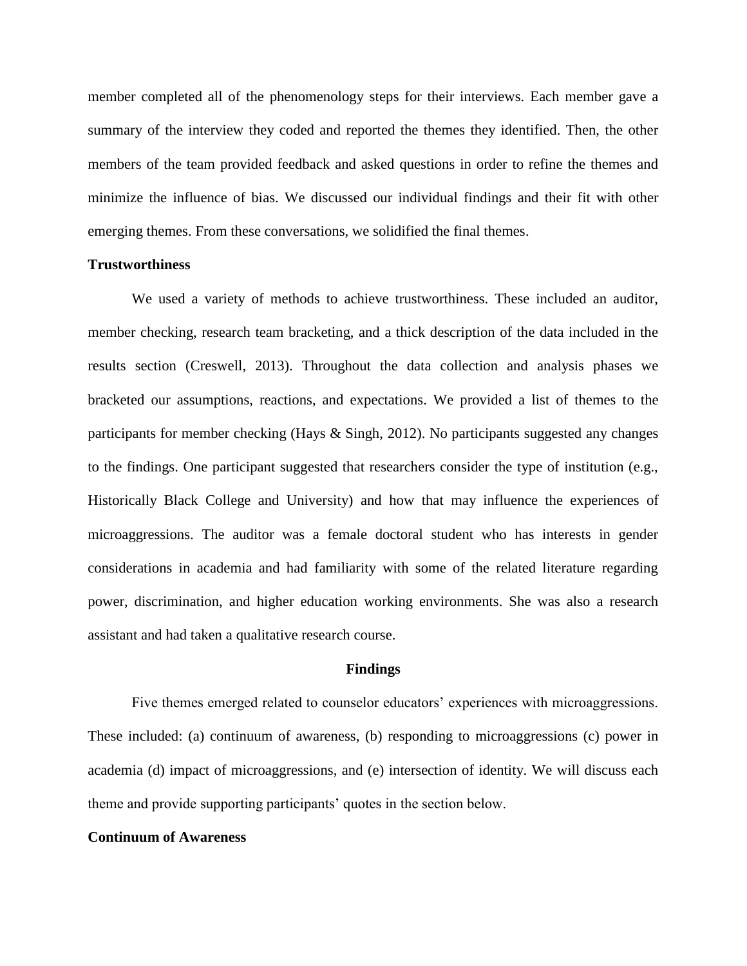member completed all of the phenomenology steps for their interviews. Each member gave a summary of the interview they coded and reported the themes they identified. Then, the other members of the team provided feedback and asked questions in order to refine the themes and minimize the influence of bias. We discussed our individual findings and their fit with other emerging themes. From these conversations, we solidified the final themes.

# **Trustworthiness**

We used a variety of methods to achieve trustworthiness. These included an auditor, member checking, research team bracketing, and a thick description of the data included in the results section (Creswell, 2013). Throughout the data collection and analysis phases we bracketed our assumptions, reactions, and expectations. We provided a list of themes to the participants for member checking (Hays & Singh, 2012). No participants suggested any changes to the findings. One participant suggested that researchers consider the type of institution (e.g., Historically Black College and University) and how that may influence the experiences of microaggressions. The auditor was a female doctoral student who has interests in gender considerations in academia and had familiarity with some of the related literature regarding power, discrimination, and higher education working environments. She was also a research assistant and had taken a qualitative research course.

#### **Findings**

Five themes emerged related to counselor educators' experiences with microaggressions. These included: (a) continuum of awareness, (b) responding to microaggressions (c) power in academia (d) impact of microaggressions, and (e) intersection of identity. We will discuss each theme and provide supporting participants' quotes in the section below.

# **Continuum of Awareness**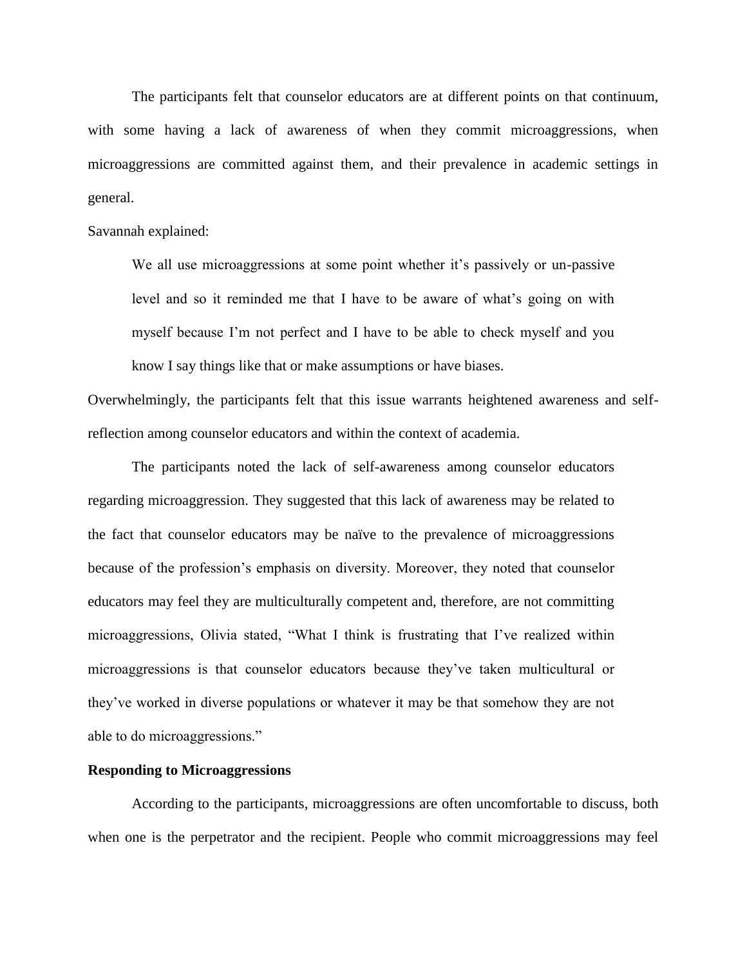The participants felt that counselor educators are at different points on that continuum, with some having a lack of awareness of when they commit microaggressions, when microaggressions are committed against them, and their prevalence in academic settings in general.

Savannah explained:

We all use microaggressions at some point whether it's passively or un-passive level and so it reminded me that I have to be aware of what's going on with myself because I'm not perfect and I have to be able to check myself and you know I say things like that or make assumptions or have biases.

Overwhelmingly, the participants felt that this issue warrants heightened awareness and selfreflection among counselor educators and within the context of academia.

The participants noted the lack of self-awareness among counselor educators regarding microaggression. They suggested that this lack of awareness may be related to the fact that counselor educators may be naïve to the prevalence of microaggressions because of the profession's emphasis on diversity. Moreover, they noted that counselor educators may feel they are multiculturally competent and, therefore, are not committing microaggressions, Olivia stated, "What I think is frustrating that I've realized within microaggressions is that counselor educators because they've taken multicultural or they've worked in diverse populations or whatever it may be that somehow they are not able to do microaggressions."

#### **Responding to Microaggressions**

According to the participants, microaggressions are often uncomfortable to discuss, both when one is the perpetrator and the recipient. People who commit microaggressions may feel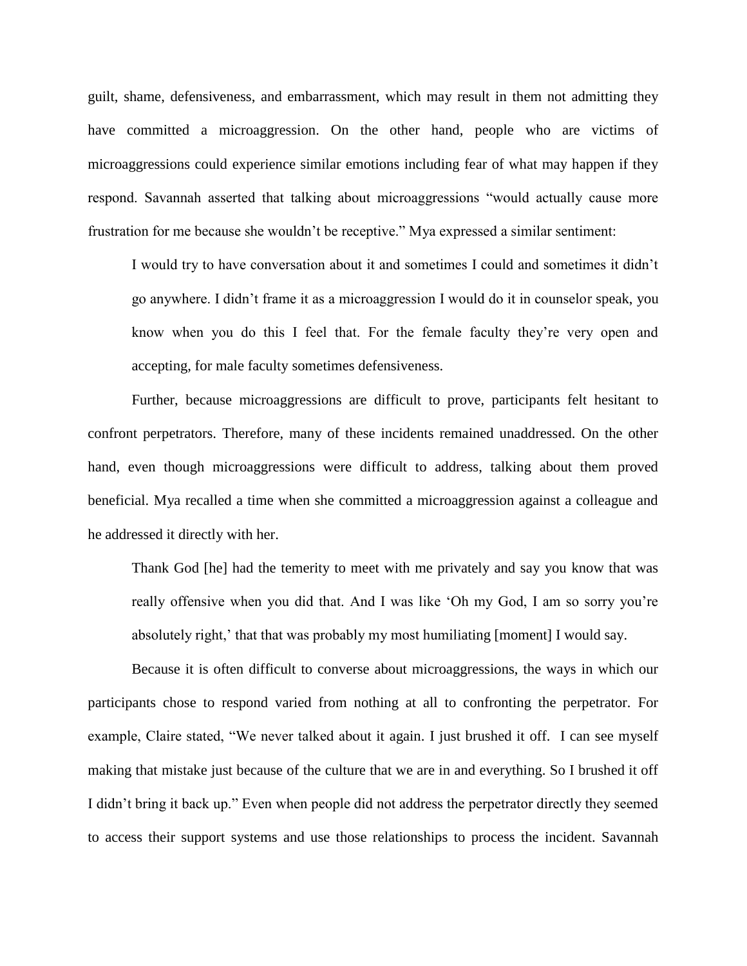guilt, shame, defensiveness, and embarrassment, which may result in them not admitting they have committed a microaggression. On the other hand, people who are victims of microaggressions could experience similar emotions including fear of what may happen if they respond. Savannah asserted that talking about microaggressions "would actually cause more frustration for me because she wouldn't be receptive." Mya expressed a similar sentiment:

I would try to have conversation about it and sometimes I could and sometimes it didn't go anywhere. I didn't frame it as a microaggression I would do it in counselor speak, you know when you do this I feel that. For the female faculty they're very open and accepting, for male faculty sometimes defensiveness.

Further, because microaggressions are difficult to prove, participants felt hesitant to confront perpetrators. Therefore, many of these incidents remained unaddressed. On the other hand, even though microaggressions were difficult to address, talking about them proved beneficial. Mya recalled a time when she committed a microaggression against a colleague and he addressed it directly with her.

Thank God [he] had the temerity to meet with me privately and say you know that was really offensive when you did that. And I was like 'Oh my God, I am so sorry you're absolutely right,' that that was probably my most humiliating [moment] I would say.

Because it is often difficult to converse about microaggressions, the ways in which our participants chose to respond varied from nothing at all to confronting the perpetrator. For example, Claire stated, "We never talked about it again. I just brushed it off. I can see myself making that mistake just because of the culture that we are in and everything. So I brushed it off I didn't bring it back up." Even when people did not address the perpetrator directly they seemed to access their support systems and use those relationships to process the incident. Savannah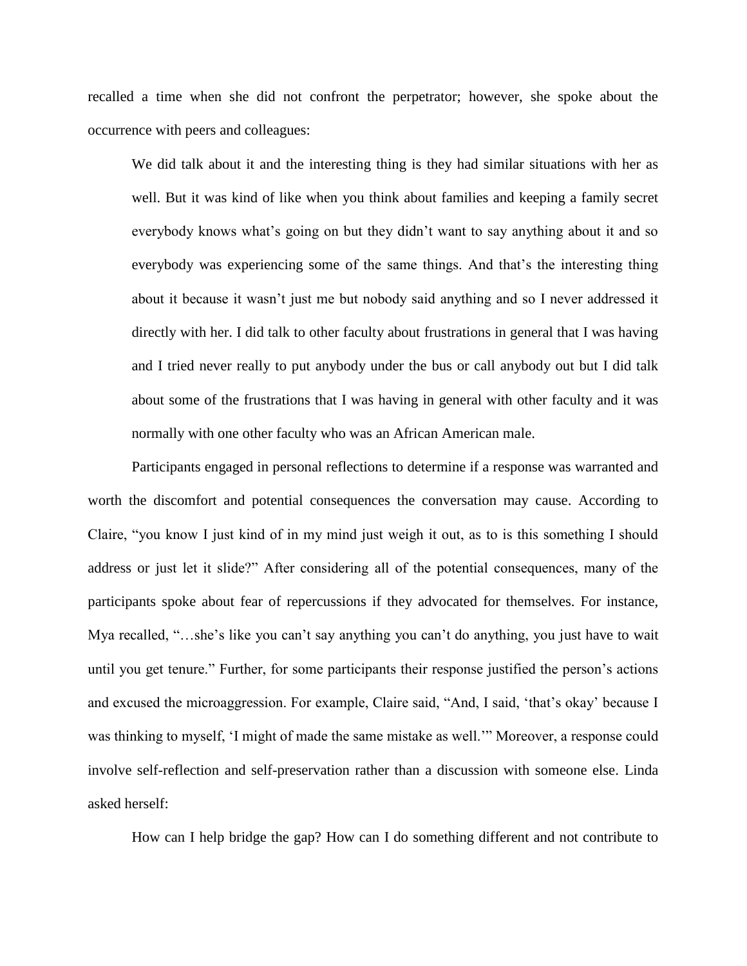recalled a time when she did not confront the perpetrator; however, she spoke about the occurrence with peers and colleagues:

We did talk about it and the interesting thing is they had similar situations with her as well. But it was kind of like when you think about families and keeping a family secret everybody knows what's going on but they didn't want to say anything about it and so everybody was experiencing some of the same things. And that's the interesting thing about it because it wasn't just me but nobody said anything and so I never addressed it directly with her. I did talk to other faculty about frustrations in general that I was having and I tried never really to put anybody under the bus or call anybody out but I did talk about some of the frustrations that I was having in general with other faculty and it was normally with one other faculty who was an African American male.

Participants engaged in personal reflections to determine if a response was warranted and worth the discomfort and potential consequences the conversation may cause. According to Claire, "you know I just kind of in my mind just weigh it out, as to is this something I should address or just let it slide?" After considering all of the potential consequences, many of the participants spoke about fear of repercussions if they advocated for themselves. For instance, Mya recalled, "…she's like you can't say anything you can't do anything, you just have to wait until you get tenure." Further, for some participants their response justified the person's actions and excused the microaggression. For example, Claire said, "And, I said, 'that's okay' because I was thinking to myself, 'I might of made the same mistake as well.'" Moreover, a response could involve self-reflection and self-preservation rather than a discussion with someone else. Linda asked herself:

How can I help bridge the gap? How can I do something different and not contribute to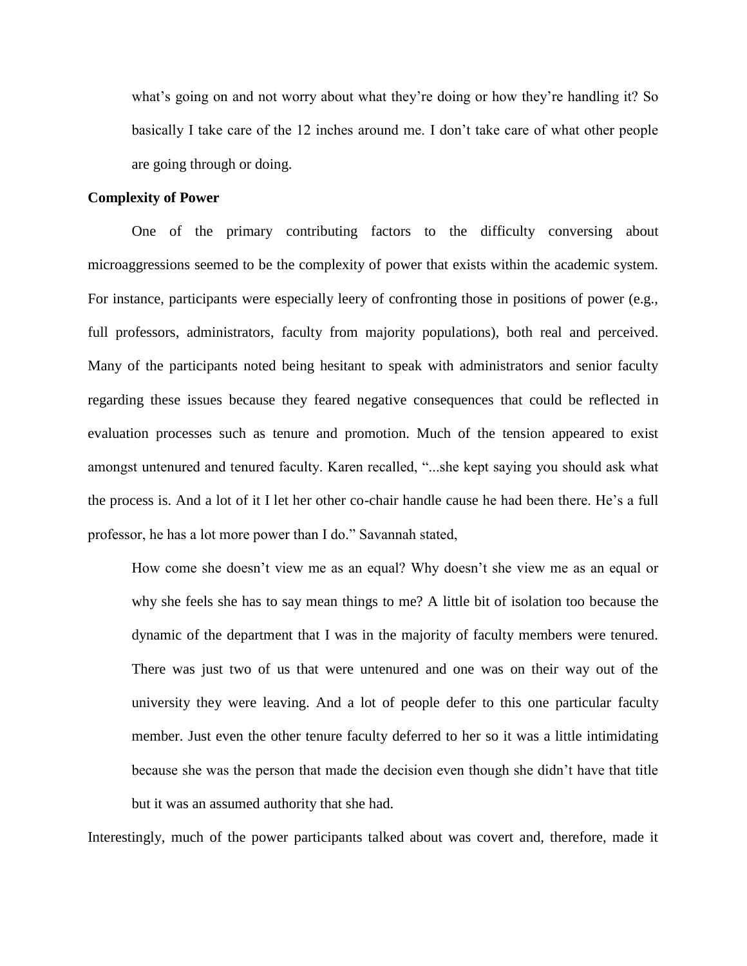what's going on and not worry about what they're doing or how they're handling it? So basically I take care of the 12 inches around me. I don't take care of what other people are going through or doing.

# **Complexity of Power**

One of the primary contributing factors to the difficulty conversing about microaggressions seemed to be the complexity of power that exists within the academic system. For instance, participants were especially leery of confronting those in positions of power (e.g., full professors, administrators, faculty from majority populations), both real and perceived. Many of the participants noted being hesitant to speak with administrators and senior faculty regarding these issues because they feared negative consequences that could be reflected in evaluation processes such as tenure and promotion. Much of the tension appeared to exist amongst untenured and tenured faculty. Karen recalled, "...she kept saying you should ask what the process is. And a lot of it I let her other co-chair handle cause he had been there. He's a full professor, he has a lot more power than I do." Savannah stated,

How come she doesn't view me as an equal? Why doesn't she view me as an equal or why she feels she has to say mean things to me? A little bit of isolation too because the dynamic of the department that I was in the majority of faculty members were tenured. There was just two of us that were untenured and one was on their way out of the university they were leaving. And a lot of people defer to this one particular faculty member. Just even the other tenure faculty deferred to her so it was a little intimidating because she was the person that made the decision even though she didn't have that title but it was an assumed authority that she had.

Interestingly, much of the power participants talked about was covert and, therefore, made it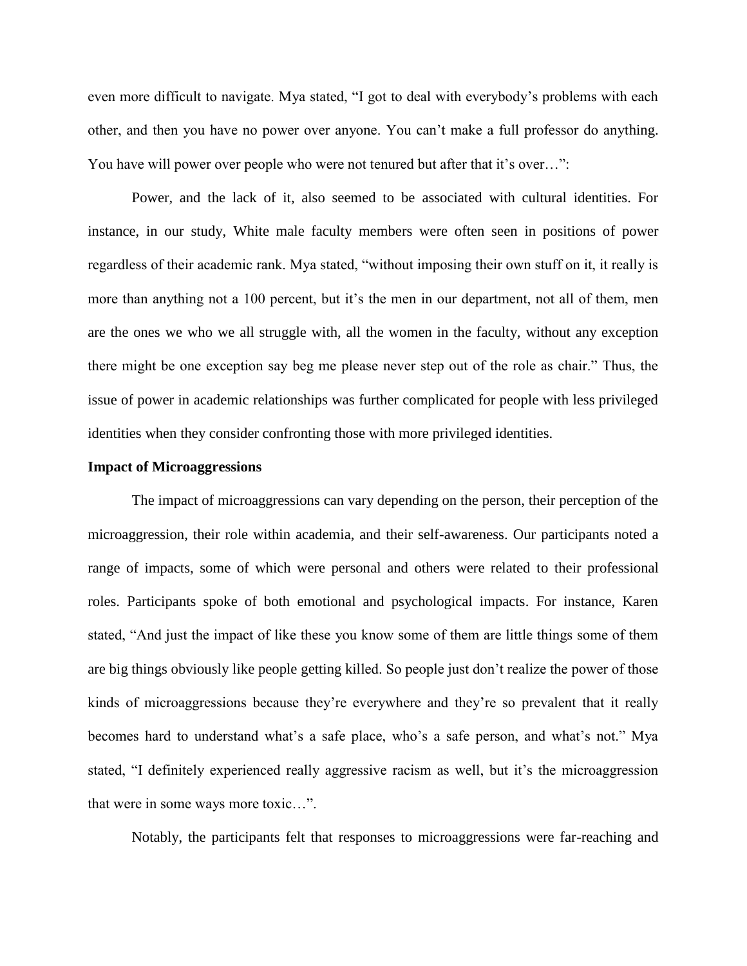even more difficult to navigate. Mya stated, "I got to deal with everybody's problems with each other, and then you have no power over anyone. You can't make a full professor do anything. You have will power over people who were not tenured but after that it's over...":

Power, and the lack of it, also seemed to be associated with cultural identities. For instance, in our study, White male faculty members were often seen in positions of power regardless of their academic rank. Mya stated, "without imposing their own stuff on it, it really is more than anything not a 100 percent, but it's the men in our department, not all of them, men are the ones we who we all struggle with, all the women in the faculty, without any exception there might be one exception say beg me please never step out of the role as chair." Thus, the issue of power in academic relationships was further complicated for people with less privileged identities when they consider confronting those with more privileged identities.

# **Impact of Microaggressions**

The impact of microaggressions can vary depending on the person, their perception of the microaggression, their role within academia, and their self-awareness. Our participants noted a range of impacts, some of which were personal and others were related to their professional roles. Participants spoke of both emotional and psychological impacts. For instance, Karen stated, "And just the impact of like these you know some of them are little things some of them are big things obviously like people getting killed. So people just don't realize the power of those kinds of microaggressions because they're everywhere and they're so prevalent that it really becomes hard to understand what's a safe place, who's a safe person, and what's not." Mya stated, "I definitely experienced really aggressive racism as well, but it's the microaggression that were in some ways more toxic…".

Notably, the participants felt that responses to microaggressions were far-reaching and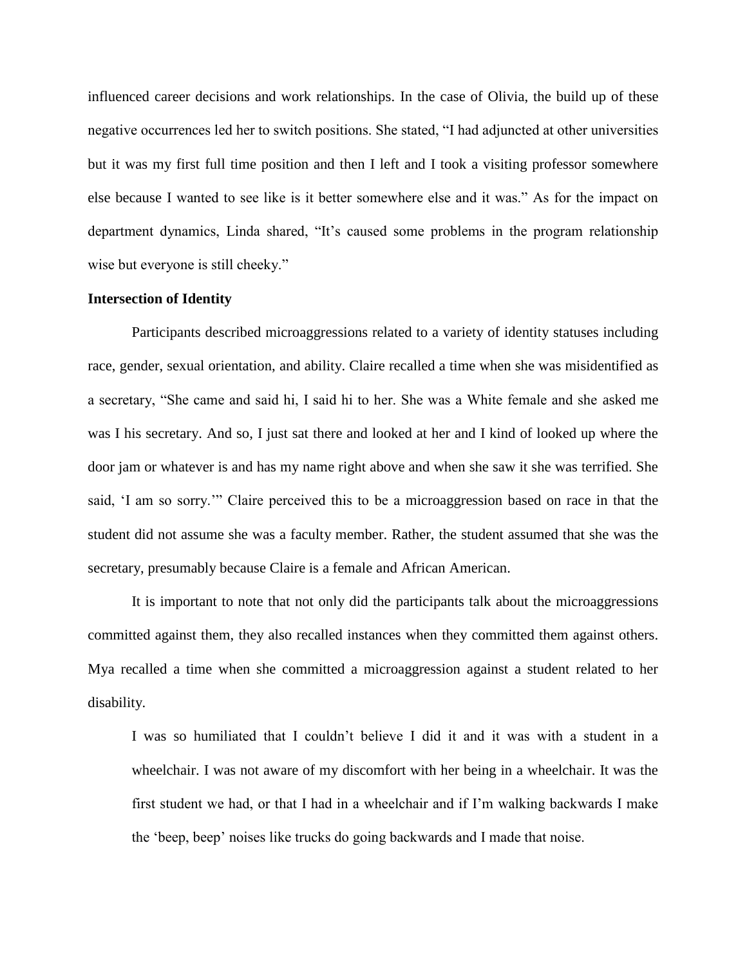influenced career decisions and work relationships. In the case of Olivia, the build up of these negative occurrences led her to switch positions. She stated, "I had adjuncted at other universities but it was my first full time position and then I left and I took a visiting professor somewhere else because I wanted to see like is it better somewhere else and it was." As for the impact on department dynamics, Linda shared, "It's caused some problems in the program relationship wise but everyone is still cheeky."

# **Intersection of Identity**

Participants described microaggressions related to a variety of identity statuses including race, gender, sexual orientation, and ability. Claire recalled a time when she was misidentified as a secretary, "She came and said hi, I said hi to her. She was a White female and she asked me was I his secretary. And so, I just sat there and looked at her and I kind of looked up where the door jam or whatever is and has my name right above and when she saw it she was terrified. She said, 'I am so sorry.'" Claire perceived this to be a microaggression based on race in that the student did not assume she was a faculty member. Rather, the student assumed that she was the secretary, presumably because Claire is a female and African American.

It is important to note that not only did the participants talk about the microaggressions committed against them, they also recalled instances when they committed them against others. Mya recalled a time when she committed a microaggression against a student related to her disability.

I was so humiliated that I couldn't believe I did it and it was with a student in a wheelchair. I was not aware of my discomfort with her being in a wheelchair. It was the first student we had, or that I had in a wheelchair and if I'm walking backwards I make the 'beep, beep' noises like trucks do going backwards and I made that noise.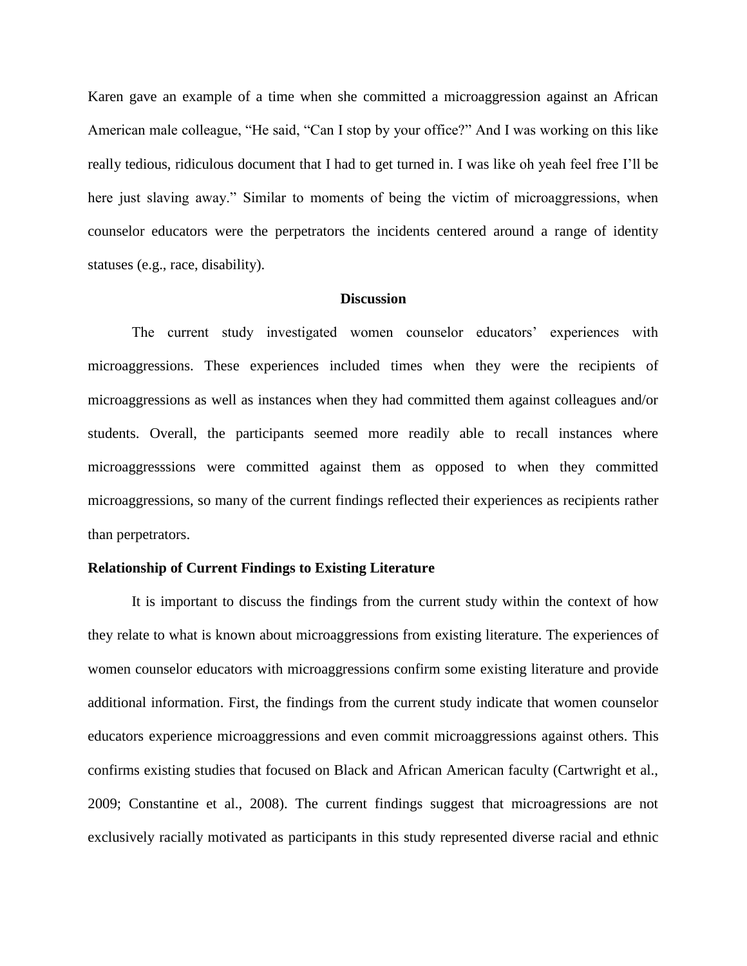Karen gave an example of a time when she committed a microaggression against an African American male colleague, "He said, "Can I stop by your office?" And I was working on this like really tedious, ridiculous document that I had to get turned in. I was like oh yeah feel free I'll be here just slaving away." Similar to moments of being the victim of microaggressions, when counselor educators were the perpetrators the incidents centered around a range of identity statuses (e.g., race, disability).

#### **Discussion**

The current study investigated women counselor educators' experiences with microaggressions. These experiences included times when they were the recipients of microaggressions as well as instances when they had committed them against colleagues and/or students. Overall, the participants seemed more readily able to recall instances where microaggresssions were committed against them as opposed to when they committed microaggressions, so many of the current findings reflected their experiences as recipients rather than perpetrators.

# **Relationship of Current Findings to Existing Literature**

It is important to discuss the findings from the current study within the context of how they relate to what is known about microaggressions from existing literature. The experiences of women counselor educators with microaggressions confirm some existing literature and provide additional information. First, the findings from the current study indicate that women counselor educators experience microaggressions and even commit microaggressions against others. This confirms existing studies that focused on Black and African American faculty (Cartwright et al., 2009; Constantine et al., 2008). The current findings suggest that microagressions are not exclusively racially motivated as participants in this study represented diverse racial and ethnic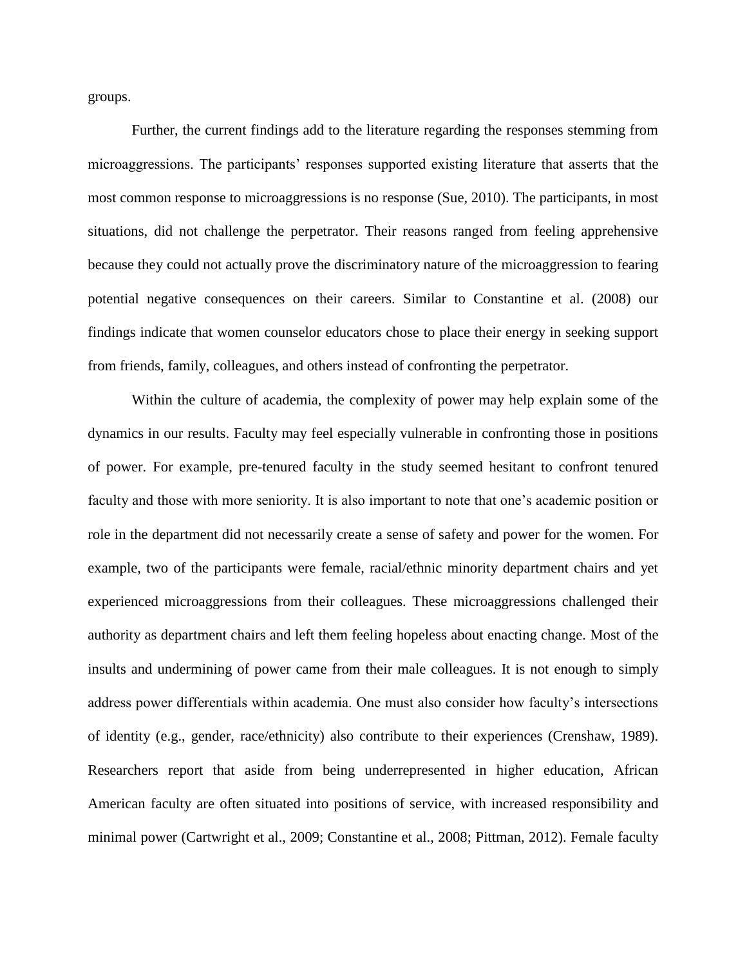groups.

Further, the current findings add to the literature regarding the responses stemming from microaggressions. The participants' responses supported existing literature that asserts that the most common response to microaggressions is no response (Sue, 2010). The participants, in most situations, did not challenge the perpetrator. Their reasons ranged from feeling apprehensive because they could not actually prove the discriminatory nature of the microaggression to fearing potential negative consequences on their careers. Similar to Constantine et al. (2008) our findings indicate that women counselor educators chose to place their energy in seeking support from friends, family, colleagues, and others instead of confronting the perpetrator.

Within the culture of academia, the complexity of power may help explain some of the dynamics in our results. Faculty may feel especially vulnerable in confronting those in positions of power. For example, pre-tenured faculty in the study seemed hesitant to confront tenured faculty and those with more seniority. It is also important to note that one's academic position or role in the department did not necessarily create a sense of safety and power for the women. For example, two of the participants were female, racial/ethnic minority department chairs and yet experienced microaggressions from their colleagues. These microaggressions challenged their authority as department chairs and left them feeling hopeless about enacting change. Most of the insults and undermining of power came from their male colleagues. It is not enough to simply address power differentials within academia. One must also consider how faculty's intersections of identity (e.g., gender, race/ethnicity) also contribute to their experiences (Crenshaw, 1989). Researchers report that aside from being underrepresented in higher education, African American faculty are often situated into positions of service, with increased responsibility and minimal power (Cartwright et al., 2009; Constantine et al., 2008; Pittman, 2012). Female faculty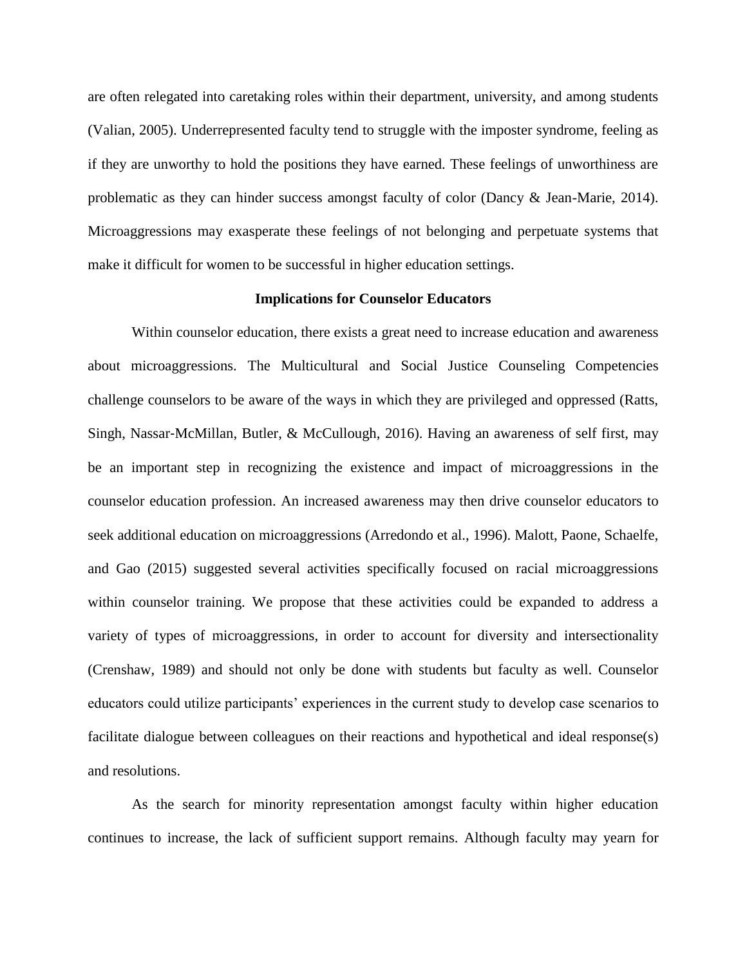are often relegated into caretaking roles within their department, university, and among students (Valian, 2005). Underrepresented faculty tend to struggle with the imposter syndrome, feeling as if they are unworthy to hold the positions they have earned. These feelings of unworthiness are problematic as they can hinder success amongst faculty of color (Dancy & Jean-Marie, 2014). Microaggressions may exasperate these feelings of not belonging and perpetuate systems that make it difficult for women to be successful in higher education settings.

# **Implications for Counselor Educators**

Within counselor education, there exists a great need to increase education and awareness about microaggressions. The Multicultural and Social Justice Counseling Competencies challenge counselors to be aware of the ways in which they are privileged and oppressed (Ratts, Singh, Nassar‐McMillan, Butler, & McCullough, 2016). Having an awareness of self first, may be an important step in recognizing the existence and impact of microaggressions in the counselor education profession. An increased awareness may then drive counselor educators to seek additional education on microaggressions (Arredondo et al., 1996). Malott, Paone, Schaelfe, and Gao (2015) suggested several activities specifically focused on racial microaggressions within counselor training. We propose that these activities could be expanded to address a variety of types of microaggressions, in order to account for diversity and intersectionality (Crenshaw, 1989) and should not only be done with students but faculty as well. Counselor educators could utilize participants' experiences in the current study to develop case scenarios to facilitate dialogue between colleagues on their reactions and hypothetical and ideal response(s) and resolutions.

As the search for minority representation amongst faculty within higher education continues to increase, the lack of sufficient support remains. Although faculty may yearn for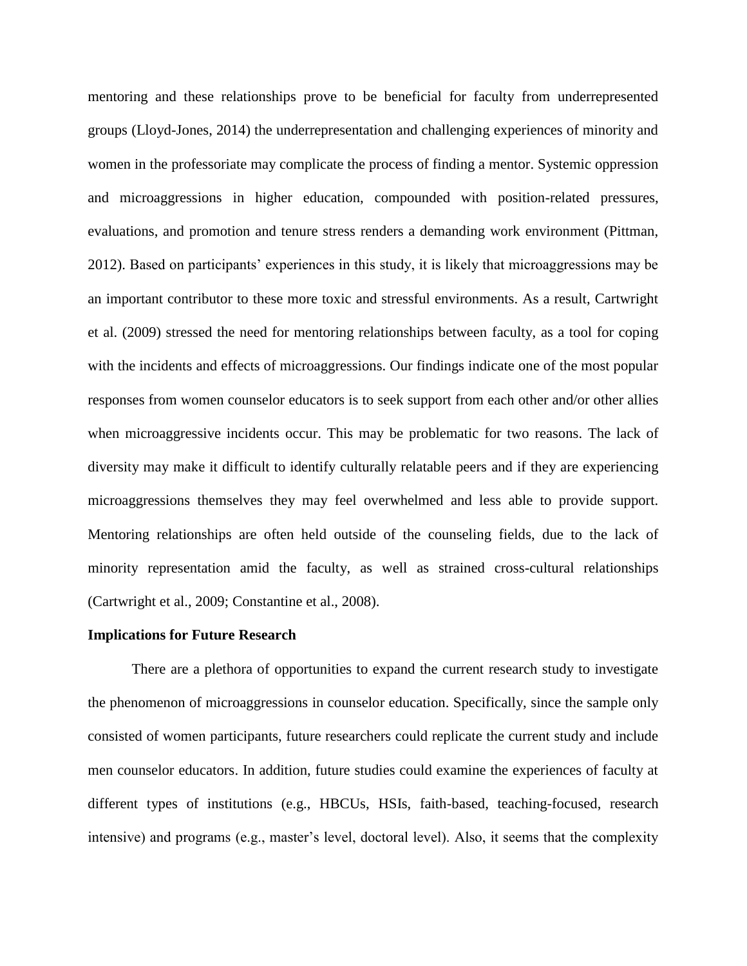mentoring and these relationships prove to be beneficial for faculty from underrepresented groups (Lloyd-Jones, 2014) the underrepresentation and challenging experiences of minority and women in the professoriate may complicate the process of finding a mentor. Systemic oppression and microaggressions in higher education, compounded with position-related pressures, evaluations, and promotion and tenure stress renders a demanding work environment (Pittman, 2012). Based on participants' experiences in this study, it is likely that microaggressions may be an important contributor to these more toxic and stressful environments. As a result, Cartwright et al. (2009) stressed the need for mentoring relationships between faculty, as a tool for coping with the incidents and effects of microaggressions. Our findings indicate one of the most popular responses from women counselor educators is to seek support from each other and/or other allies when microaggressive incidents occur. This may be problematic for two reasons. The lack of diversity may make it difficult to identify culturally relatable peers and if they are experiencing microaggressions themselves they may feel overwhelmed and less able to provide support. Mentoring relationships are often held outside of the counseling fields, due to the lack of minority representation amid the faculty, as well as strained cross-cultural relationships (Cartwright et al., 2009; Constantine et al., 2008).

#### **Implications for Future Research**

There are a plethora of opportunities to expand the current research study to investigate the phenomenon of microaggressions in counselor education. Specifically, since the sample only consisted of women participants, future researchers could replicate the current study and include men counselor educators. In addition, future studies could examine the experiences of faculty at different types of institutions (e.g., HBCUs, HSIs, faith-based, teaching-focused, research intensive) and programs (e.g., master's level, doctoral level). Also, it seems that the complexity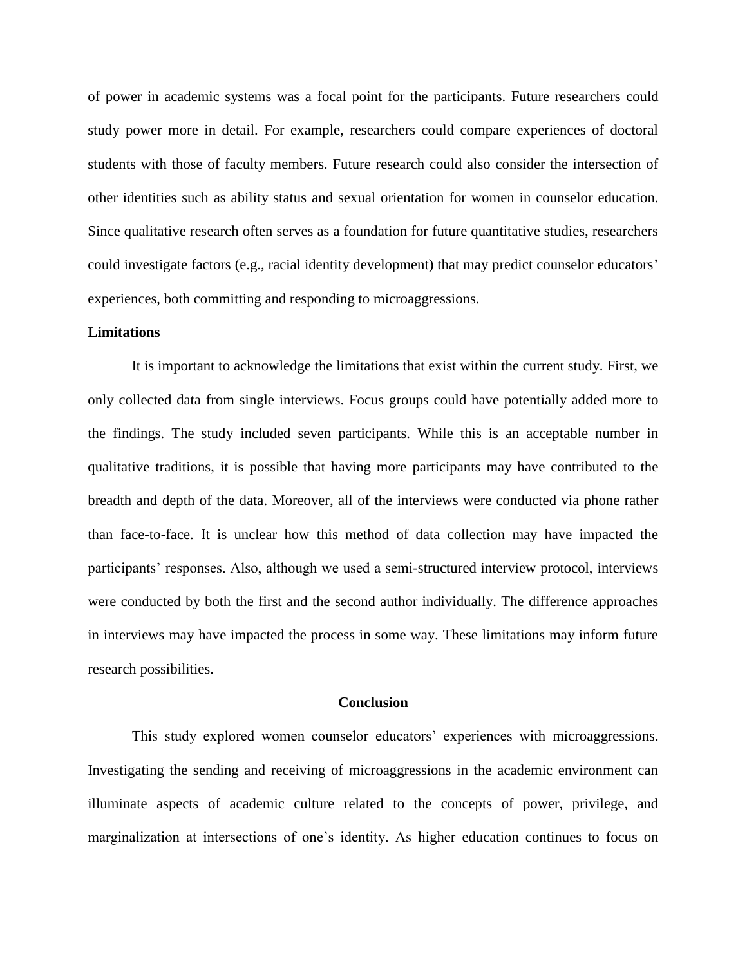of power in academic systems was a focal point for the participants. Future researchers could study power more in detail. For example, researchers could compare experiences of doctoral students with those of faculty members. Future research could also consider the intersection of other identities such as ability status and sexual orientation for women in counselor education. Since qualitative research often serves as a foundation for future quantitative studies, researchers could investigate factors (e.g., racial identity development) that may predict counselor educators' experiences, both committing and responding to microaggressions.

# **Limitations**

It is important to acknowledge the limitations that exist within the current study. First, we only collected data from single interviews. Focus groups could have potentially added more to the findings. The study included seven participants. While this is an acceptable number in qualitative traditions, it is possible that having more participants may have contributed to the breadth and depth of the data. Moreover, all of the interviews were conducted via phone rather than face-to-face. It is unclear how this method of data collection may have impacted the participants' responses. Also, although we used a semi-structured interview protocol, interviews were conducted by both the first and the second author individually. The difference approaches in interviews may have impacted the process in some way. These limitations may inform future research possibilities.

#### **Conclusion**

This study explored women counselor educators' experiences with microaggressions. Investigating the sending and receiving of microaggressions in the academic environment can illuminate aspects of academic culture related to the concepts of power, privilege, and marginalization at intersections of one's identity. As higher education continues to focus on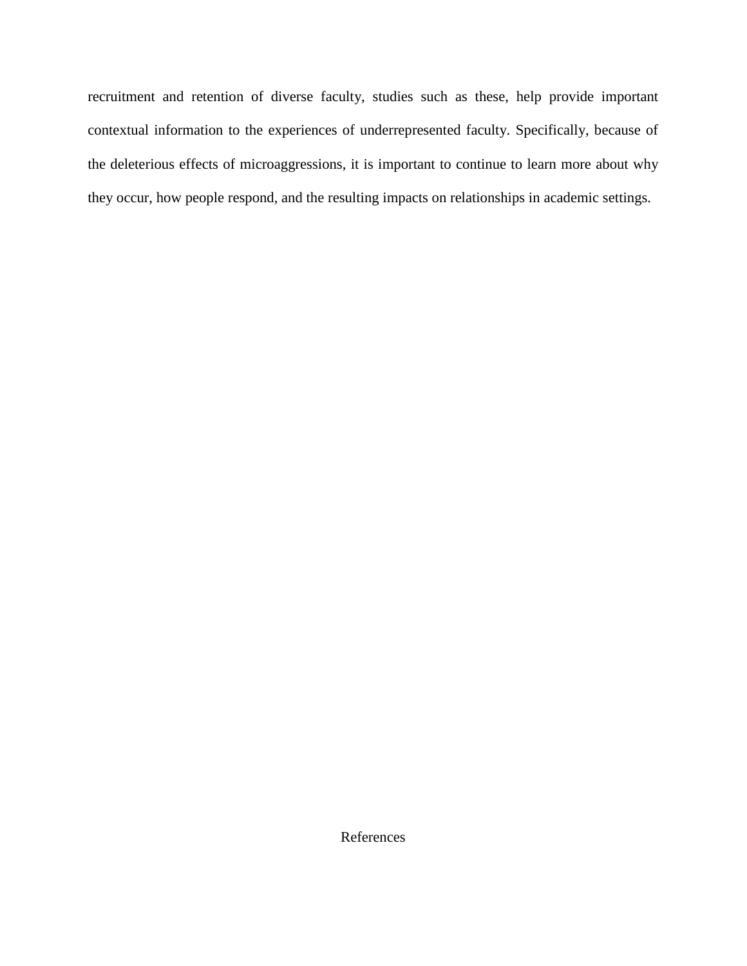recruitment and retention of diverse faculty, studies such as these, help provide important contextual information to the experiences of underrepresented faculty. Specifically, because of the deleterious effects of microaggressions, it is important to continue to learn more about why they occur, how people respond, and the resulting impacts on relationships in academic settings.

References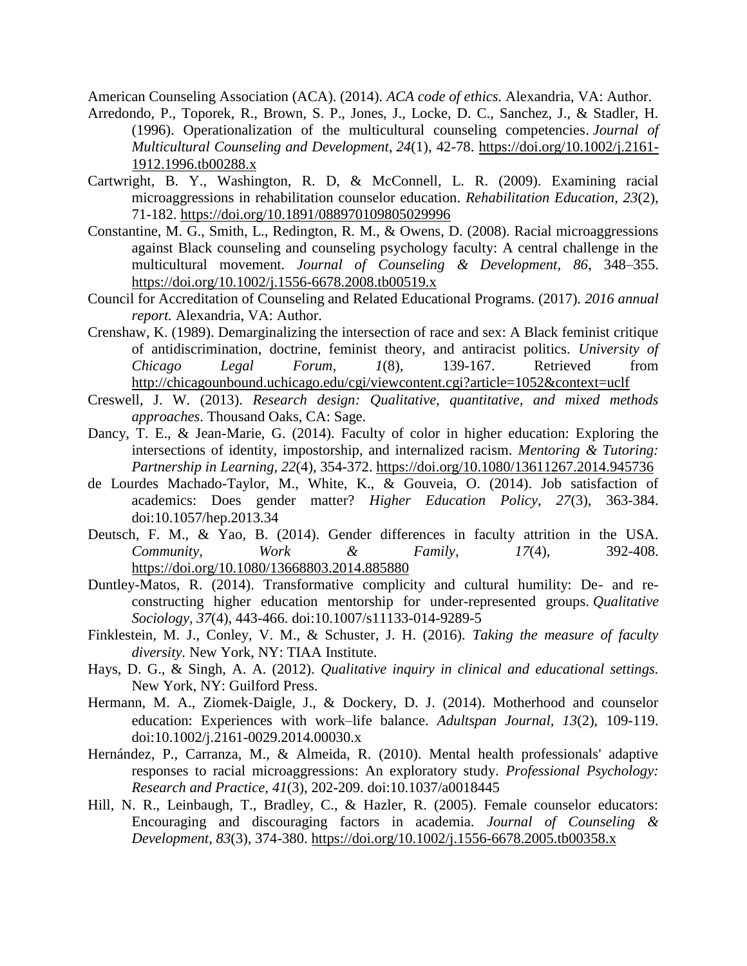American Counseling Association (ACA). (2014). *ACA code of ethics.* Alexandria, VA: Author.

- Arredondo, P., Toporek, R., Brown, S. P., Jones, J., Locke, D. C., Sanchez, J., & Stadler, H. (1996). Operationalization of the multicultural counseling competencies. *Journal of Multicultural Counseling and Development*, *24*(1), 42-78. [https://doi.org/10.1002/j.2161-](https://doi.org/10.1002/j.2161-1912.1996.tb00288.x) [1912.1996.tb00288.x](https://doi.org/10.1002/j.2161-1912.1996.tb00288.x)
- Cartwright, B. Y., Washington, R. D, & McConnell, L. R. (2009). Examining racial microaggressions in rehabilitation counselor education. *Rehabilitation Education, 23*(2), 71-182.<https://doi.org/10.1891/088970109805029996>
- Constantine, M. G., Smith, L., Redington, R. M., & Owens, D. (2008). Racial microaggressions against Black counseling and counseling psychology faculty: A central challenge in the multicultural movement. *Journal of Counseling & Development, 86*, 348–355. <https://doi.org/10.1002/j.1556-6678.2008.tb00519.x>
- Council for Accreditation of Counseling and Related Educational Programs. (2017). *2016 annual report.* Alexandria, VA: Author.
- Crenshaw, K. (1989). Demarginalizing the intersection of race and sex: A Black feminist critique of antidiscrimination, doctrine, feminist theory, and antiracist politics. *University of Chicago Legal Forum, 1*(8), 139-167. Retrieved from <http://chicagounbound.uchicago.edu/cgi/viewcontent.cgi?article=1052&context=uclf>
- Creswell, J. W. (2013). *Research design: Qualitative, quantitative, and mixed methods approaches*. Thousand Oaks, CA: Sage.
- Dancy, T. E., & Jean-Marie, G. (2014). Faculty of color in higher education: Exploring the intersections of identity, impostorship, and internalized racism. *Mentoring & Tutoring: Partnership in Learning, 22*(4), 354-372. <https://doi.org/10.1080/13611267.2014.945736>
- de Lourdes Machado-Taylor, M., White, K., & Gouveia, O. (2014). Job satisfaction of academics: Does gender matter? *Higher Education Policy*, *27*(3), 363-384. doi:10.1057/hep.2013.34
- Deutsch, F. M., & Yao, B. (2014). Gender differences in faculty attrition in the USA. *Community, Work & Family*, *17*(4), 392-408. <https://doi.org/10.1080/13668803.2014.885880>
- Duntley-Matos, R. (2014). Transformative complicity and cultural humility: De- and reconstructing higher education mentorship for under-represented groups. *Qualitative Sociology, 37*(4), 443-466. doi:10.1007/s11133-014-9289-5
- Finklestein, M. J., Conley, V. M., & Schuster, J. H. (2016). *Taking the measure of faculty diversity.* New York, NY: TIAA Institute.
- Hays, D. G., & Singh, A. A. (2012). *Qualitative inquiry in clinical and educational settings.*  New York, NY: Guilford Press.
- Hermann, M. A., Ziomek-Daigle, J., & Dockery, D. J. (2014). Motherhood and counselor education: Experiences with work–life balance. *Adultspan Journal, 13*(2), 109-119. doi:10.1002/j.2161-0029.2014.00030.x
- Hernández, P., Carranza, M., & Almeida, R. (2010). Mental health professionals' adaptive responses to racial microaggressions: An exploratory study. *Professional Psychology: Research and Practice, 41*(3), 202-209. doi:10.1037/a0018445
- Hill, N. R., Leinbaugh, T., Bradley, C., & Hazler, R. (2005). Female counselor educators: Encouraging and discouraging factors in academia. *Journal of Counseling & Development*, *83*(3), 374-380.<https://doi.org/10.1002/j.1556-6678.2005.tb00358.x>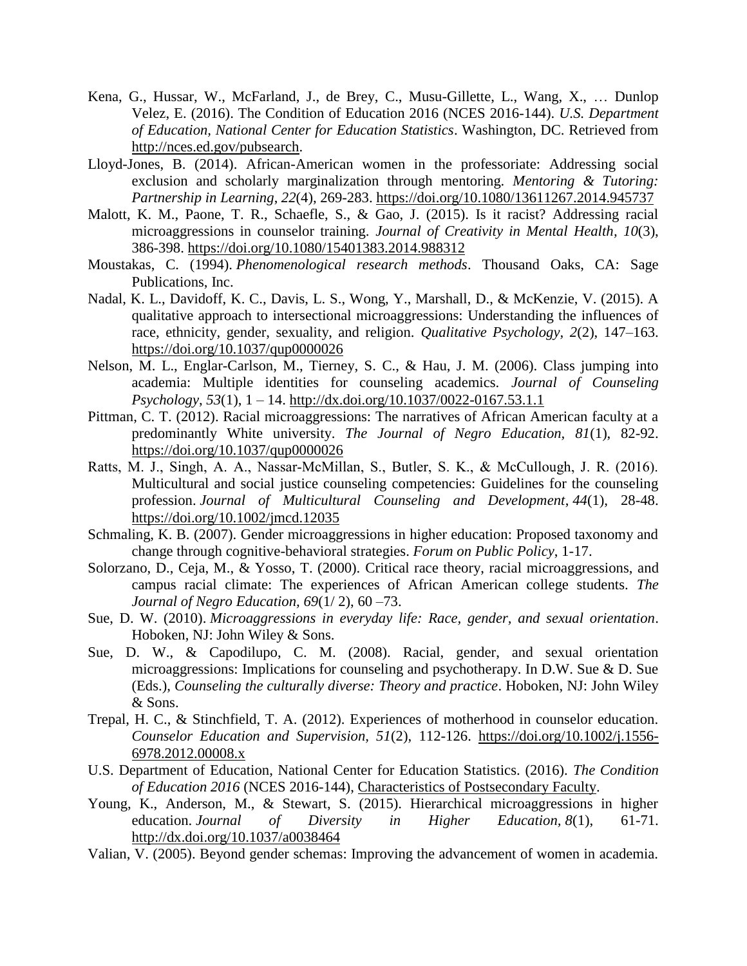- Kena, G., Hussar, W., McFarland, J., de Brey, C., Musu-Gillette, L., Wang, X., … Dunlop Velez, E. (2016). The Condition of Education 2016 (NCES 2016-144). *U.S. Department of Education, National Center for Education Statistics*. Washington, DC. Retrieved from [http://nces.ed.gov/pubsearch.](http://nces.ed.gov/pubsearch)
- Lloyd-Jones, B. (2014). African-American women in the professoriate: Addressing social exclusion and scholarly marginalization through mentoring. *Mentoring & Tutoring: Partnership in Learning*, *22*(4), 269-283. <https://doi.org/10.1080/13611267.2014.945737>
- Malott, K. M., Paone, T. R., Schaefle, S., & Gao, J. (2015). Is it racist? Addressing racial microaggressions in counselor training. *Journal of Creativity in Mental Health, 10*(3), 386-398.<https://doi.org/10.1080/15401383.2014.988312>
- Moustakas, C. (1994). *Phenomenological research methods*. Thousand Oaks, CA: Sage Publications, Inc.
- Nadal, K. L., Davidoff, K. C., Davis, L. S., Wong, Y., Marshall, D., & McKenzie, V. (2015). A qualitative approach to intersectional microaggressions: Understanding the influences of race, ethnicity, gender, sexuality, and religion. *Qualitative Psychology, 2*(2), 147–163. <https://doi.org/10.1037/qup0000026>
- Nelson, M. L., Englar-Carlson, M., Tierney, S. C., & Hau, J. M. (2006). Class jumping into academia: Multiple identities for counseling academics. *Journal of Counseling Psychology*, *53*(1), 1 – 14. [http://dx.doi.org/10.1037/0022-0167.53.1.1](https://psycnet.apa.org/doi/10.1037/0022-0167.53.1.1)
- Pittman, C. T. (2012). Racial microaggressions: The narratives of African American faculty at a predominantly White university. *The Journal of Negro Education, 81*(1), 82-92. <https://doi.org/10.1037/qup0000026>
- Ratts, M. J., Singh, A. A., Nassar‐McMillan, S., Butler, S. K., & McCullough, J. R. (2016). Multicultural and social justice counseling competencies: Guidelines for the counseling profession. *Journal of Multicultural Counseling and Development*, *44*(1), 28-48. <https://doi.org/10.1002/jmcd.12035>
- Schmaling, K. B. (2007). Gender microaggressions in higher education: Proposed taxonomy and change through cognitive-behavioral strategies. *Forum on Public Policy*, 1-17.
- Solorzano, D., Ceja, M., & Yosso, T. (2000). Critical race theory, racial microaggressions, and campus racial climate: The experiences of African American college students. *The Journal of Negro Education, 69*(1/ 2), 60 –73.
- Sue, D. W. (2010). *Microaggressions in everyday life: Race, gender, and sexual orientation*. Hoboken, NJ: John Wiley & Sons.
- Sue, D. W., & Capodilupo, C. M. (2008). Racial, gender, and sexual orientation microaggressions: Implications for counseling and psychotherapy. In D.W. Sue & D. Sue (Eds.), *Counseling the culturally diverse: Theory and practice*. Hoboken, NJ: John Wiley & Sons.
- Trepal, H. C., & Stinchfield, T. A. (2012). Experiences of motherhood in counselor education. *Counselor Education and Supervision, 51*(2), 112-126. [https://doi.org/10.1002/j.1556-](https://doi.org/10.1002/j.1556-6978.2012.00008.x) [6978.2012.00008.x](https://doi.org/10.1002/j.1556-6978.2012.00008.x)
- U.S. Department of Education, National Center for Education Statistics. (2016). *The Condition of Education 2016* (NCES 2016-144), [Characteristics of Postsecondary Faculty.](https://nces.ed.gov/programs/coe/indicator_csc.asp)
- Young, K., Anderson, M., & Stewart, S. (2015). Hierarchical microaggressions in higher education. *Journal of Diversity in Higher Education, 8*(1), 61-71. <http://dx.doi.org/10.1037/a0038464>
- Valian, V. (2005). Beyond gender schemas: Improving the advancement of women in academia.